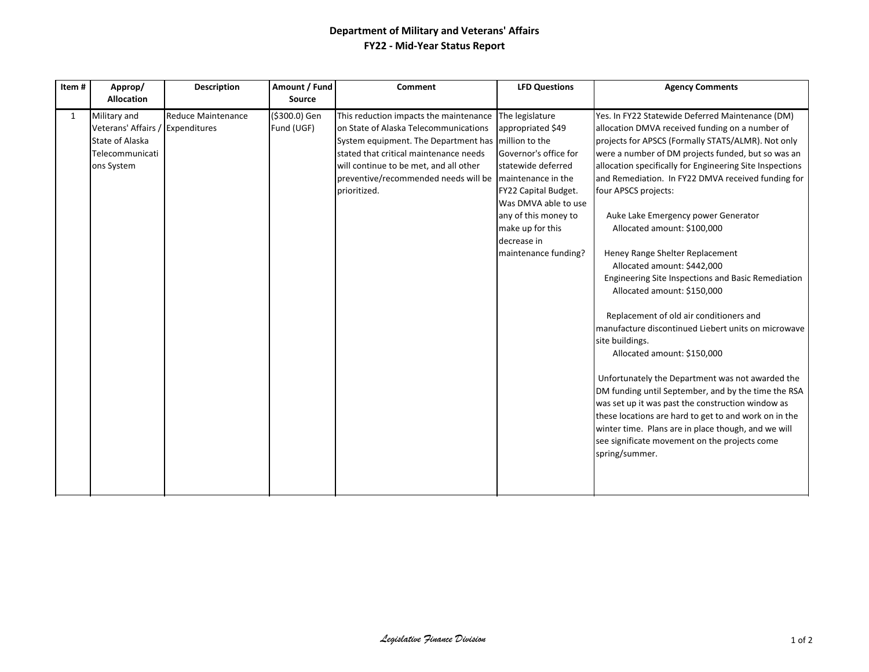## **Department of Military and Veterans' Affairs FY22 - Mid-Year Status Report**

| Item#        | Approp/                                                                                              | <b>Description</b>        | Amount / Fund               | Comment                                                                                                                                                                                                                                                                            | <b>LFD Questions</b>                                                                                                                                                                                                                         | <b>Agency Comments</b>                                                                                                                                                                                                                                                                                                                                                                                                                                                                                                                                                                                                                                                                                                                                                                                                                                                                                                                                                                                                                                                                        |
|--------------|------------------------------------------------------------------------------------------------------|---------------------------|-----------------------------|------------------------------------------------------------------------------------------------------------------------------------------------------------------------------------------------------------------------------------------------------------------------------------|----------------------------------------------------------------------------------------------------------------------------------------------------------------------------------------------------------------------------------------------|-----------------------------------------------------------------------------------------------------------------------------------------------------------------------------------------------------------------------------------------------------------------------------------------------------------------------------------------------------------------------------------------------------------------------------------------------------------------------------------------------------------------------------------------------------------------------------------------------------------------------------------------------------------------------------------------------------------------------------------------------------------------------------------------------------------------------------------------------------------------------------------------------------------------------------------------------------------------------------------------------------------------------------------------------------------------------------------------------|
|              | <b>Allocation</b>                                                                                    |                           | <b>Source</b>               |                                                                                                                                                                                                                                                                                    |                                                                                                                                                                                                                                              |                                                                                                                                                                                                                                                                                                                                                                                                                                                                                                                                                                                                                                                                                                                                                                                                                                                                                                                                                                                                                                                                                               |
| $\mathbf{1}$ | Military and<br>Veterans' Affairs / Expenditures<br>State of Alaska<br>Telecommunicati<br>ons System | <b>Reduce Maintenance</b> | (\$300.0) Gen<br>Fund (UGF) | This reduction impacts the maintenance<br>on State of Alaska Telecommunications<br>System equipment. The Department has million to the<br>stated that critical maintenance needs<br>will continue to be met, and all other<br>preventive/recommended needs will be<br>prioritized. | The legislature<br>appropriated \$49<br>Governor's office for<br>statewide deferred<br>maintenance in the<br>FY22 Capital Budget.<br>Was DMVA able to use<br>any of this money to<br>make up for this<br>decrease in<br>maintenance funding? | Yes. In FY22 Statewide Deferred Maintenance (DM)<br>allocation DMVA received funding on a number of<br>projects for APSCS (Formally STATS/ALMR). Not only<br>were a number of DM projects funded, but so was an<br>allocation specifically for Engineering Site Inspections<br>and Remediation. In FY22 DMVA received funding for<br>four APSCS projects:<br>Auke Lake Emergency power Generator<br>Allocated amount: \$100,000<br>Heney Range Shelter Replacement<br>Allocated amount: \$442,000<br>Engineering Site Inspections and Basic Remediation<br>Allocated amount: \$150,000<br>Replacement of old air conditioners and<br>manufacture discontinued Liebert units on microwave<br>site buildings.<br>Allocated amount: \$150,000<br>Unfortunately the Department was not awarded the<br>DM funding until September, and by the time the RSA<br>was set up it was past the construction window as<br>these locations are hard to get to and work on in the<br>winter time. Plans are in place though, and we will<br>see significate movement on the projects come<br>spring/summer. |